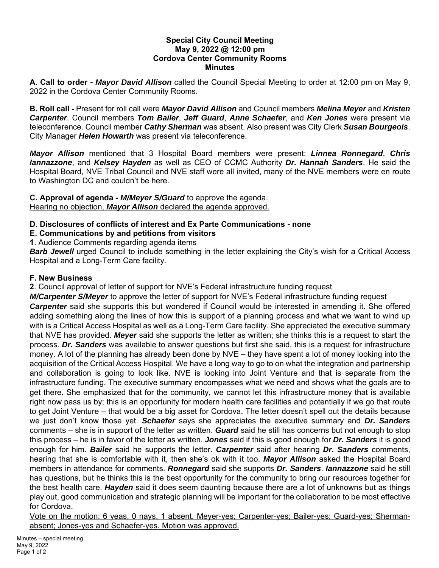### **Special City Council Meeting May 9, 2022 @ 12:00 pm Cordova Center Community Rooms Minutes**

**A. Call to order -** *Mayor David Allison* called the Council Special Meeting to order at 12:00 pm on May 9, 2022 in the Cordova Center Community Rooms.

**B. Roll call -** Present for roll call were *Mayor David Allison* and Council members *Melina Meyer* and *Kristen Carpenter*. Council members *Tom Bailer*, *Jeff Guard*, *Anne Schaefer*, and *Ken Jones* were present via teleconference. Council member *Cathy Sherman* was absent. Also present was City Clerk *Susan Bourgeois*. City Manager *Helen Howarth* was present via teleconference.

*Mayor Allison* mentioned that 3 Hospital Board members were present: *Linnea Ronnegard*, *Chris Iannazzone*, and *Kelsey Hayden* as well as CEO of CCMC Authority *Dr. Hannah Sanders*. He said the Hospital Board, NVE Tribal Council and NVE staff were all invited, many of the NVE members were en route to Washington DC and couldn't be here.

### **C. Approval of agenda -** *M/Meyer S/Guard* to approve the agenda. Hearing no objection, *Mayor Allison* declared the agenda approved.

# **D. Disclosures of conflicts of interest and Ex Parte Communications - none**

**E. Communications by and petitions from visitors** 

**1**. Audience Comments regarding agenda items

*Barb Jewell* urged Council to include something in the letter explaining the City's wish for a Critical Access Hospital and a Long-Term Care facility.

# **F. New Business**

**2**. Council approval of letter of support for NVE's Federal infrastructure funding request

*M/Carpenter S/Meyer* to approve the letter of support for NVE's Federal infrastructure funding request *Carpenter* said she supports this but wondered if Council would be interested in amending it. She offered adding something along the lines of how this is support of a planning process and what we want to wind up with is a Critical Access Hospital as well as a Long-Term Care facility. She appreciated the executive summary that NVE has provided. *Meyer* said she supports the letter as written; she thinks this is a request to start the process. *Dr. Sanders* was available to answer questions but first she said, this is a request for infrastructure money. A lot of the planning has already been done by NVE – they have spent a lot of money looking into the acquisition of the Critical Access Hospital. We have a long way to go to on what the integration and partnership and collaboration is going to look like. NVE is looking into Joint Venture and that is separate from the infrastructure funding. The executive summary encompasses what we need and shows what the goals are to get there. She emphasized that for the community, we cannot let this infrastructure money that is available right now pass us by; this is an opportunity for modern health care facilities and potentially if we go that route to get Joint Venture – that would be a big asset for Cordova. The letter doesn't spell out the details because we just don't know those yet. *Schaefer* says she appreciates the executive summary and *Dr. Sanders*  comments – she is in support of the letter as written. *Guard* said he still has concerns but not enough to stop this process – he is in favor of the letter as written. *Jones* said if this is good enough for *Dr. Sanders* it is good enough for him. *Bailer* said he supports the letter. *Carpenter* said after hearing *Dr. Sanders* comments, hearing that she is comfortable with it, then she's ok with it too. *Mayor Allison* asked the Hospital Board members in attendance for comments. *Ronnegard* said she supports *Dr. Sanders*. *Iannazzone* said he still has questions, but he thinks this is the best opportunity for the community to bring our resources together for the best health care. *Hayden* said it does seem daunting because there are a lot of unknowns but as things play out, good communication and strategic planning will be important for the collaboration to be most effective for Cordova.

Vote on the motion: 6 yeas, 0 nays, 1 absent. Meyer-yes; Carpenter-yes; Bailer-yes; Guard-yes; Shermanabsent; Jones-yes and Schaefer-yes. Motion was approved.